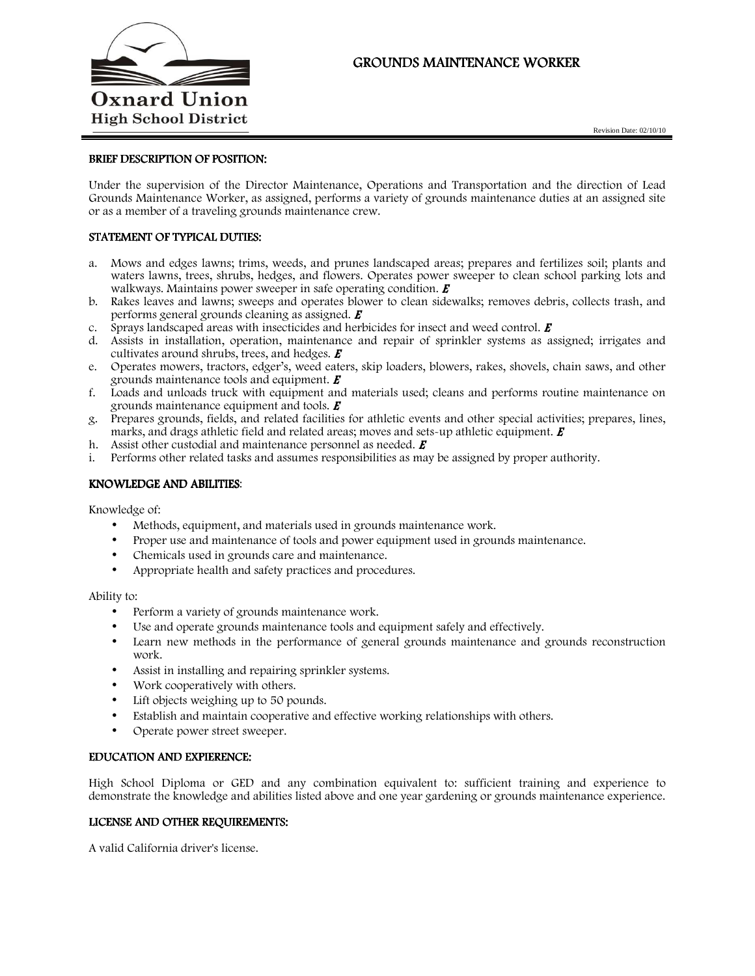

# GROUNDS MAINTENANCE WORKER

### BRIEF DESCRIPTION OF POSITION:

Under the supervision of the Director Maintenance, Operations and Transportation and the direction of Lead Grounds Maintenance Worker, as assigned, performs a variety of grounds maintenance duties at an assigned site or as a member of a traveling grounds maintenance crew.

## STATEMENT OF TYPICAL DUTIES:

- a. Mows and edges lawns; trims, weeds, and prunes landscaped areas; prepares and fertilizes soil; plants and waters lawns, trees, shrubs, hedges, and flowers. Operates power sweeper to clean school parking lots and walkways. Maintains power sweeper in safe operating condition.  $\boldsymbol{E}$
- b. Rakes leaves and lawns; sweeps and operates blower to clean sidewalks; removes debris, collects trash, and performs general grounds cleaning as assigned.  $\boldsymbol{E}$
- c. Sprays landscaped areas with insecticides and herbicides for insect and weed control.  $\vec{E}$
- d. Assists in installation, operation, maintenance and repair of sprinkler systems as assigned; irrigates and cultivates around shrubs, trees, and hedges.  $\boldsymbol{E}$
- e. Operates mowers, tractors, edger's, weed eaters, skip loaders, blowers, rakes, shovels, chain saws, and other grounds maintenance tools and equipment.  $\boldsymbol{E}$
- f. Loads and unloads truck with equipment and materials used; cleans and performs routine maintenance on grounds maintenance equipment and tools.  $\boldsymbol{E}$
- g. Prepares grounds, fields, and related facilities for athletic events and other special activities; prepares, lines, marks, and drags athletic field and related areas; moves and sets-up athletic equipment.  $\boldsymbol{E}$
- h. Assist other custodial and maintenance personnel as needed.  $\boldsymbol{E}$
- i. Performs other related tasks and assumes responsibilities as may be assigned by proper authority.

### KNOWLEDGE AND ABILITIES:

Knowledge of:

- Methods, equipment, and materials used in grounds maintenance work.
- Proper use and maintenance of tools and power equipment used in grounds maintenance.
- Chemicals used in grounds care and maintenance.
- Appropriate health and safety practices and procedures.

Ability to:

- Perform a variety of grounds maintenance work.
- Use and operate grounds maintenance tools and equipment safely and effectively.
- Learn new methods in the performance of general grounds maintenance and grounds reconstruction work.
- Assist in installing and repairing sprinkler systems.
- Work cooperatively with others.
- Lift objects weighing up to 50 pounds.
- Establish and maintain cooperative and effective working relationships with others.
- Operate power street sweeper.

#### EDUCATION AND EXPIERENCE:

High School Diploma or GED and any combination equivalent to: sufficient training and experience to demonstrate the knowledge and abilities listed above and one year gardening or grounds maintenance experience.

#### LICENSE AND OTHER REQUIREMENTS:

A valid California driver's license.